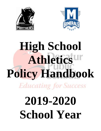



# **High School Athletics Policy Handbook Educating for Success**

# **2019-2020 School Year**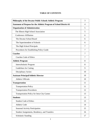# **Philosophy of the Decatur Public Schools Athletic Program**  $\begin{array}{|c|c|c|c|c|} \hline 3 & 3 & \hline \end{array}$ **Statement of Purpose for the Athletic Program of School District 61** 4 **Organization of Administration** 5 The Illinois High School Association 5 Conference Affiliation 6 The Decatur School Board 6 and 6 and 6 and 6 and 6 and 6 and 6 and 6 and 6 and 6 and 6 and 6 and 6 and 6 and 6 and 6 and 6 and 6 and 6 and 6 and 6 and 6 and 6 and 6 and 6 and 6 and 6 and 6 and 6 and 6 and 6 and 6 and 6 and The Superintendent of Schools 6 The High School Principals 7 Procedures for Establishing Policy Guide 7 **Coaches** 7 Coaches Code of Ethics 7 Athletic Program 8 Interscholastic Program 8 Guidelines for Cutting 9 Disciplinary Action 10 **Assistant Principal/Athletic Director** 10 Athletic Officials 10 **Transportation** 11 Transportation Policy 11 Transportation Procedures 12 Transportation Policy for Intra-City Games 13 **Students** 13 Student Code of Ethics 13 Athletic Code 14 Seasonal Activity Participation 15 Student Assignments, Residency, and Transfers 16 Scholastic Standing 17

# **TABLE OF CONTENTS**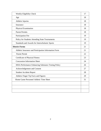| Weekly Eligibility Check                                   | 17 |
|------------------------------------------------------------|----|
| Age                                                        | 18 |
| Athletic Injuries                                          | 18 |
| Insurance                                                  | 18 |
| Physical Examination                                       | 18 |
| <b>Parent Permits</b>                                      | 18 |
| Participation Fee                                          | 19 |
| Policy for Students Attending State Tournaments            | 19 |
| Standards and Awards for Interscholastic Sports            | 19 |
| <b>District Forms</b>                                      | 21 |
| Athletic Insurance and Participation Information Form      | 21 |
| <b>Parent Permit</b>                                       | 22 |
| <b>Certificate of Physical Fitness</b>                     | 23 |
| <b>Concussion Information Sheet</b>                        | 24 |
| <b>IHSA Performance Enhancing Substance Testing Policy</b> | 26 |
| Acknowledgement and Consent                                | 27 |
| <b>Student Accident Report</b>                             | 28 |
| Athletic Finger Tip Facts and Figures                      | 29 |
| Home Game Personnel Athletic Time Sheet                    | 31 |
|                                                            |    |
|                                                            |    |
|                                                            |    |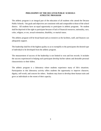# **PHILOSOPHY OF THE DECATUR PUBLIC SCHOOLS ATHLETIC PROGRAM**

The athletic program is an integral part of the education of all students who attend the Decatur Public Schools. Our goals and objectives are consistent with and comparable to those of the school district. All students have an equal opportunity to participate in athletic programs. No student shall be deprived of the right to participate because of lack of financial resources, nationality, race, color, religion, or sex, sexual orientation, disability, or marital status.

The athletic program will be broad based and as extensive as the facilities, staff, and finances can adequately support.

The leadership shall be of the highest quality so as to exemplify to the participants the desired type of individual to be developed from the athletic program.

The measurement of success of the leadership is not limited to won and lost records. It includes the success experienced in helping each participant develop his/her talents and desirable personal characteristics to their fullest.

The athletic program is a laboratory where students experience many of life's situations. Participation in this laboratory activity offers students the opportunity to improve character, dignity, self-worth, and concern for others. Students may learn to develop these human traits and grow as individuals to the extent of their capacity.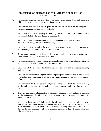# **STATEMENT OF PURPOSE FOR THE ATHLETIC PROGRAM OF SCHOOL DISTRICT 61**

- A. Participation helps develop character, social competence, cooperation, and moral and ethical values that are an everyday part of our society.
- B. Participation develops a mutual respect for all who are involved in the competition: teammates, opponents, coaches, and officials.
- C. Participants must learn to abide by the rules, regulations, and decisions of officials, just as we all must abide by the laws that govern our society.
- D. Participation leads to a better understanding of our democratic ideals, social and economic well-being, and the spirit of fair play.
- E. Participation teaches a student that discipline and self-sacrifice are necessary ingredients of team work, if the end result is to be accomplished.
- F. Through participation, the individual will develop a healthy body, a sound mind, and a better understanding of individual differences.
- G. Participation provides valuable lessons which are learned in the course of competition; for example, winning, as well as losing, reflects team effort.
- H. Competition helps to develop the fundamental processes that lead to emotional maturity and self-control.
- I. Participation in the athletic program will cause participants and spectators to look forward to attending school, resulting in an improved student attitude toward school and schoolrelated activities.
- J. Participation in athletic competition will give students an opportunity to achieve, not only for themselves, but for their team and school community and receive their just rewards in return.
- K. The individual school administration must provide adequate control and safety measures for the participants, officials, and spectators in order to insure the proper atmosphere for interscholastic events.
- L. Members of the athletic staff shall abide by the rules and regulations and officials' decisions which govern each sport, maintain the highest standard of ethics, recognize each participant as an individual, conduct themselves in a manner befitting their responsibilities, and develop the kind of rapport with the total school community that will improve the total educational program.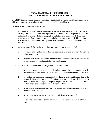# **ORGANIZATION AND ADMINISTRATION THE ILLINOIS HIGH SCHOOL ASSOCIATION**

Dwight D. Eisenhower and Douglas MacArthur High Schools are members of the state association which determines the overall pattern for inter-school athletics in Illinois.

As stated in the constitution of the IHSA:

This Association shall be known as the Illinois High School Association (IHSA). It shall be the purpose of this Association to provide leadership for the development, supervision, and promotion of interscholastic competition and other activities in which its member schools engage. Participation in such interscholastic activities offers eligible students experiences in an educational setting which may provide enrichment to the educational experience.

This Association, through the employment of the instrumentalists, hereinafter shall:

- 1. supervise and regulate all of the interscholastic activities in which its member schools may engage; and
- 2. perform such other functions related to interscholastic activities as may from time to time be approved and adopted by the membership.

In the performance of these functions, the objectives of the Association shall be:

- 1. to stress the educational importance, the cultural values, the appreciations and skills involved in all interscholastic activities, and to promote cooperation and friendship;
- 2. to regulate interscholastic programs in both character and quantity according to the accepted objectives of secondary education so that interscholastics shall not unduly interfere with nor abridge the regular program of teachers and students in the performances of their regular day to day school duties;
- 3. to encourage economy in the time of the student and teacher personnel devoted to interscholastic activities;
- 4. to encourage economy in expenses of interscholastic activities; and
- 5. to promote only those activities which enhance the school's desired educational goals.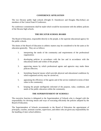# **CONFERENCE AFFILIATION**

The two Decatur public high schools (Dwight D. Eisenhower and Douglas MacArthur) are members of the Central State 8 Conference.

No conference commitments shall be made which would be inconsistent with the athletic policies of the Decatur high schools.

# **THE DECATUR SCHOOL BOARD**

The Board of Education, responsible directly to the people, is the supreme educational agency for the public schools.

The duties of the Board of Education in athletic matters may be considered to be the same as for education generally. They are as follows:

- 1. interpreting the needs of the community and requirements of the professional organization;
- 2. developing policies in accordance with the law and in accordance with the educational needs and wishes of the people;
- 3. approving means by which professional agents and agencies may make these policies effective;
- 4. furnishing financial means which provide physical and educational conditions by which organized activity may be carried on;
- 5. appraising the efficiency of the agents and of the service rendered in terms of their value to the community;
- 6. keeping the people intelligently informed of the purpose, value, conditions, and needs of the public education within the community.

# **THE SUPERINTENDENT OF SCHOOLS**

The executive function is delegated to the Superintendent of Schools who is charged with the responsibility for devising means and ways of executing efficiently the policies adopted by the Board of Education.

The Superintendent of Schools recommends to the Board of Education the appointment of principals, coaches, assistant coaches, supervisors, and others who are given any responsibility for the handling of inter-school athletics.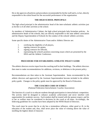He or she approves all policies and procedures recommended by his/her staff and is, in fact, directly responsible to the school board for the successful performance of the organization.

# **THE HIGH SCHOOL PRINCIPALS**

The high school principal is the administrative head of the inter-scholastic athletic activities just as he/she is of all other activities at the school.

As members of Administrative Cabinet, the high school principals help formulate policies. As administrative heads of the schools, they are directly responsible to the state athletic association and the Deputy Superintendent of Schools for the conduct of the schools' athletic activities.

Some specific duties of the Administrative Team and/or Athletic Director are:

- 1. certifying the eligibility of all players,
- 2. signing contracts for games,
- 3. signing contracts for officials,
- 4. representing the school's position concerning issues which are presented by the IHSA and the Athletic Conference.

# **PROCEDURE FOR ESTABLISHING ATHLETIC POLICY GUIDE**

The athletic directors receive input from the coaching staff in their buildings. The athletic directors then meet to make recommendations for additions, revisions, or deletions to the present policy.

Recommendations are then taken to the Assistant Superintendent. Items recommended by the athletic directors and approved by the Assistant Superintendent become included in the athletic policy guide. Changes to the policy guide must be approved by the Board of Education.

# **THE COACHES CODE OF ETHICS**

(National Federation Interscholastic Coaches Association)

The function of a coach is to educate students through participation in interscholastic competition. The activity shall be designed to enhance academic achievement and never interfere with opportunities for academic success. Each student shall be treated with the upmost respect, and his or her as welfare must be considered in decisions by the coach at all times. Accordingly, the following guidelines for coaches have been adopted by the NFHS Board of Directors.

The coach must be aware that he or she has a tremendous influence, either good or ill, in the education of the student and, thus, shall never place the value of winning above the value of instilling the highest ideals of character.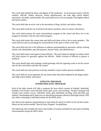The coach shall uphold the honor and dignity of the profession. In all personal contact with the students, officials, athletic directors, school administrators, the state high school athletic association, the media, and the public, the coach shall strive to set an example of the highest ethical and moral conduct.

The coach shall take an active role in the prevention of drug, alcohol, and tobacco abuse.

The coach shall avoid the use of alcohol and tobacco products when in contact with players.

The coach shall promote the entire interscholastic program of the school and direct his or her program in harmony with the total school program.

The coach shall master the contest rules and shall teach them to his or her to team members. The coach shall not seek an advantage by circumvention of the spirit or letter of the rules.

The coach shall exert his or her influence to enhance sportsmanship by spectators, and by working closely with cheerleaders, pep club sponsors, booster clubs, and administrators.

The coach shall respect and support contest officials. The coach shall not indulge in conduct which will incite players or spectators against the officials. Public criticism of officials or players is unethical.

The coach should meet and exchange cordial greetings with the opposing coach to set the correct tone for the event before and after the contest.

The coach shall not exert pressure on faculty members to give student special consideration.

The coach shall not scout opponents by any means other than those adopted by the league and/or state high school athletic association.

### **ATHLETIC PROGRAM INTERSCHOLASTIC PROGRAM**

Each of the high schools will offer a program for boys which consists of football, basketball, baseball, cross country, track and field, tennis, golf, soccer, and wrestling. The girl's program will include cross country, soccer, volleyball, tennis, golf, basketball, bowling, track and field, and softball. Cheerleading and E-Sports are co-educational programs offered at both high schools. DPS also offers swimming as individual entries for the IHSA series.

Our district also sponsors representatives to state meets for sports in which we do not have teams. Please see the section entitled "Special Entry Program" for guidelines.

The following chart includes the sports and number of contests permitted in each sport including all tournaments except the IHSA series.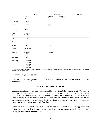|            | Junior           |              | Freshman- |                                                                                                                                                    |  |
|------------|------------------|--------------|-----------|----------------------------------------------------------------------------------------------------------------------------------------------------|--|
|            | Varsity          | JV/Sophomore | Freshman  |                                                                                                                                                    |  |
| Football   | 9 games          | 9            | 9         |                                                                                                                                                    |  |
| Basketball | 31 games         |              |           |                                                                                                                                                    |  |
| Baseball   | 35 games         | 35 games     |           |                                                                                                                                                    |  |
| Bowling    | 20 dates         |              |           |                                                                                                                                                    |  |
| Cross      | $I = 18$ dates   |              |           |                                                                                                                                                    |  |
| Country    | $T = 15$ dates   |              |           |                                                                                                                                                    |  |
| Golf       | 18 dates         |              |           |                                                                                                                                                    |  |
| Soccer     | 25 games         |              |           |                                                                                                                                                    |  |
| Softball   | 35 games         | 35 games     |           |                                                                                                                                                    |  |
| Tennis     | $I = 20$ dates   |              |           |                                                                                                                                                    |  |
| Track &    | $I = 21$ dates   | 8 outdoor    |           |                                                                                                                                                    |  |
| Field      | $T = 18$ dates   |              |           |                                                                                                                                                    |  |
| Volleyball | 31 games         |              |           |                                                                                                                                                    |  |
| Wrestling  | $T = 18 + 0$ Trn | 12           |           |                                                                                                                                                    |  |
|            | $T = 17 + 1$ Trn |              |           |                                                                                                                                                    |  |
|            | $T = 16 + 2$ Trn |              |           |                                                                                                                                                    |  |
|            | $T = 15 + 3$ Trn |              |           |                                                                                                                                                    |  |
|            | $T = 14 + 4$ Trn |              |           |                                                                                                                                                    |  |
|            |                  |              |           | * The number of contects permitted is restricted to the number listed for the two squade. The HISA sponsored tournaments are permitted in addition |  |

d is restricted to the number listed for the two squads. The IHSA sponsored tournaments are permitted in addition to the number of contests listed.

### Additional Program Guidelines:

If, because of the shortage of coaches, a coach cannot be hired to coach a team, the team may not be formed.

### **GUIDELINES FOR CUTTING**

Each participant shall be assured a minimum of three practices before he/she is cut. The number three is used for sports where a large number of candidates try out and there is a limited amount of practice time before the first scheduled contest. Where a fewer number try out, the coach may want to permit more practices before making his first cut. Students, who report late due to participation in other approved school district sports or activities, will have the opportunity to participate in a least three practices before they are cut.

Every effort shall be made by the coach to provide each candidate with an opportunity to demonstrate his/her skill in as many areas as feasible which relate to that particular sport and with the proper equipment to demonstrate this skill.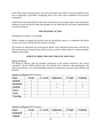In all of his contact with the players, the coach must make every effort to treat all candidates fairly and as impartially as possible, recognizing that he may know some candidates from previous associations.

It shall also be the responsibility of the coach, when asked, to encourage, advise, and counsel those athletes cut from the squad to help them prepare for the following year and better understand the reasons for being cut.

# **DISCIPLINARY ACTION**

Participation in athletics is a privilege.

When a student is dropped from his/her team for disciplinary reasons, it is important that he/she receive a fair notice and that he/she be given a hearing.

All coaches are responsible for reviewing the athletic code, individual school rules, and rules for their respective sport during the first week of practice with the Athletic Director, assistant coaches, students, and parents.

# **ATHLETIC DIRECTOR AND ATHLETIC OFFICIALS**

Hiring of Officials

The hiring of officials shall be mutually satisfactory to the schools involved in the contest concerned. Decatur Public Schools also will conform with conference rules pertaining to the selection of officials. For varsity basketball contests involving intra-city teams, three officials will be hired.

| <b>Sport</b>      | ╯<br><b>Varsity</b> | Jr. Varsity | <b>Sophomore</b> | Fr-Soph | Freshman |
|-------------------|---------------------|-------------|------------------|---------|----------|
| <b>Baseball</b>   |                     |             |                  |         |          |
| <b>Basketball</b> |                     |             |                  |         |          |
| Football          |                     |             | 4                |         |          |
| <b>Soccer</b>     | 3                   |             |                  |         |          |
| <b>Track</b>      | ◠                   |             |                  |         |          |
| <b>Wrestling</b>  |                     |             |                  |         |          |

Number of Officials (Boys Contests)

Number of Officials (Girls Contests)

| <b>Sport</b>      | <b>Varsity</b> | Jr. Varsity | <b>Sophomore</b> | <b>Fr-Soph</b> | Freshman |
|-------------------|----------------|-------------|------------------|----------------|----------|
| <b>Basketball</b> |                |             |                  |                |          |
| <b>Softball</b>   |                |             |                  | -              |          |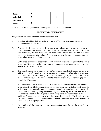| <b>Track</b>      |  |   |  |
|-------------------|--|---|--|
| <b>Volleyball</b> |  | ∽ |  |
| Lines Judges=2    |  |   |  |
| <b>Soccer</b>     |  |   |  |

Please refer to the "Finger Tip Facts and Figures" to determine the pay rate.

# **TRANSPORTATION POLICY**

The guidelines for using school district transportation are:

- A. A yellow school bus shall be used whenever possible. This is the safest means of transportation for our athletes.
- B. A school district van shall be used when there are eight or fewer people making the trip (eight passenger vans includes the driver). Consideration may also be given to using the vans when they are not being used for other school district business and it is more economical to take vans than a bus. For example, vans may be used to transport basketball or wrestling teams to holiday tournaments.

Only school district employees with a valid driver's license shall be permitted to drive a school van. No school employee may transport students in school or private vehicles unless authorized by the administration.

- C. The district prefers that a coach not use his/her personal vehicle to transport players to an athletic contest. If a coach receives permission to transport in his/her vehicle he/she must show adequate insurance coverage, each student must sign a permission form, and the coach will be reimbursed the current school district's rate for mileage when using a personal vehicle for this purpose.
- D. Students are expected to arrive and return from athletic events with their team and coach in the district provided transportation. In the rare event that a student must leave the activity due to an unusual event, the student's parent/legal guardian must present to the student's coach a note signed by them indicating they are taking the student with them and relieving the school of their responsibility of transporting the student back to the school building. A student may only leave with their parent/legal guardian. The District reserves the right to require court documentation of parental / guardian status when releasing a student to a parent/legal guardian.
- E. Every effort will be made to minimize transportation needs through the scheduling of activities.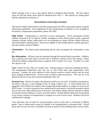When ordering a bus or van, a bus request shall be completed electronically. The bus request forms for fall and winter sports shall be submitted prior July  $1<sup>st</sup>$ . Bus requests for spring sports shall be submitted by February  $1<sup>st</sup>$ .

# **TRANSPORTATION PROCEDURES**

The Decatur Public School District provides transportation for IHSA sanctioned contests using the following as guidelines. All arrangements for the transportation of students is to be arranged by the district's transportation department, phone 362-3026.

**High School:** Transportation is restricted to active participants. Active participants include students expected to be in uniform, student manager(s), school district paid coaches, approved volunteer coaches, trainer, adults paid to act as scorekeepers or minor officials, athletic directors, and school/district administrators. Persons not eligible to ride include parents, student spectators, pom pon squads, spouses/children.

**Cheerleaders:** The district-paid cheerleading advisor must accompany the cheerleaders on the bus.

**Bus Information:** All buses must be requested through the normal district procedure. Athletics have a priority over other types of events only if ordered in advance and in this manner. Buses utilized for athletic transportation have a capacity of 62 if seated 3 to a seat. If seated 2 to a seat, the capacity is 44.

**Vans:** District 61 has a fleet of 5 student vans. Seating capacity is 8 persons including the driver. The transportation department may rent cars or vans which meet state requirements when necessary. Students are never allowed to drive district-owned or rented vehicles and are never given mileage reimbursement. Drivers must be district-approved persons. The vans are to be picked up the day of use and returned immediately after use.

**Personal Cars:** District 61 prefers that personal vehicles are not used. In limited circumstances, the district will pay a coach mileage in lieu of using a district van. A coach should never be required to drive his/her own vehicle when transporting student athletes to compete in out-of-town IHSA events. A coach is required to have administrative permission to use his/her personal vehicle prior to the event, shall submit proof of insurance, and student athletes shall be required to submit a permission form if riding in a coach's personal vehicle. Student athletes shall never be permitted to use private vehicles as transportation to compete in an out-of-town event. Students will not be reimbursed for mileage.

Vans and buses may be used for reward purposes, such as team trips to University of Illinois games. Trips to theme parks cannot be charged to the transportation or education fund. School buses and vans may be used, if available, but must be paid for from building and/or activity funds.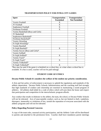| <b>Sport</b>                        | Transportation - | Transportation -     |
|-------------------------------------|------------------|----------------------|
|                                     | <b>Furnished</b> | <b>Not Furnished</b> |
| Varsity Football                    | X                |                      |
| <b>JV</b> Football                  | X                |                      |
| Sophomore Football                  | X                |                      |
| Freshman Football                   | X                |                      |
| Varsity Basketball (Boys and Girls) |                  | X                    |
| <b>JV</b> Basketball                |                  | X                    |
| Sophomore Basketball*               |                  | X                    |
| Freshman Basketball*                |                  | X                    |
| Varsity Wrestling                   |                  | $\boldsymbol{X}$     |
| Fr-Soph Wrestling*                  |                  | X                    |
| <b>Varsity Baseball</b>             |                  | X                    |
| Fr-Soph Baseball*                   | X                | X                    |
| Varsity Soccer (Boys and Girls)*    |                  | X                    |
| <b>Varsity Softball</b>             |                  | X                    |
| Fr-Soph Softball*                   | X                | X                    |
| Varsity Track*                      |                  | X                    |
| Fr-Soph Track*                      | X                | X                    |
| Varsity Volleyball*                 |                  |                      |
| Fr-Soph Volleyball*                 | X                |                      |

# **TRANSPORTATION POLICY FOR INTRA-CITY GAMES**

\*Bus may be used if the game is scheduled on a school day, at a time when a school bus is available. If a bus is used, coaches will not be paid mileage.

# **STUDENT CODE OF ETHICS**

### **Decatur Public Schools 61 considers the welfare of the student our priority consideration.**

A firm and fair policy of enforcement is necessary to uphold the regulations and standards of the athletic department. Decatur Public Schools Administration and the coaching staff feel strongly that high standards of conduct and citizenship are essential in maintaining a sound program of athletics. All athletes shall abide by a code of ethics which will earn them the honor and respect that participation and competition in the interscholastic program affords.

Any conduct that results in dishonor to the athlete, the team, the school, or Decatur Public Schools will not be tolerated. Acts of unacceptable conduct, such as, but not limited to theft, vandalism, disrespect, immorality or violations of law, tarnish the reputation of everyone associated with the athletic programs and will not be tolerated.

### **Policy Regarding Parental Concerns**

A copy of the team rules, seasonal activity participation, and the Athletic Code will be distributed to parents and attached to the permission form. Coaches shall have mandatory parent meetings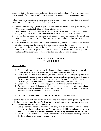before the start of the sport season and review their rules and schedules. Parents are expected to be role models of good sportsmanship and support for the sport that their student participates.

In the event that a parent has a concern involving a coach or sport program that their student participates, the following guidelines shall be followed:

- 1. Concerns such as playing time, player positions, coaching philosophy or game strategy are NOT items warranting individual coach/parent discussion.
- 2. Other parent concerns shall be addressed by the parent making an appointment with the coach for a private parent/coach conversation to discuss the concern and reach a resolution.
- 3. If the meeting between the parent and coach does not resolve the concern, the parent may request a meeting with the Athletic Director and the coach to further discuss the concern and reach a resolution.
- 4. If this meeting does not resolve the concern, a final meeting between the Principal, the Athletic Director, the coach and the parent will be scheduled to discuss the concern.
- 5. The Principal is the administrative head of all inter-scholastic activities in the school and is the IHSA or IESA District Representative for the District. The final decision and appeal for a resolution of the concern will be made by the Principal after the final meeting.

# **DECATUR PUBLIC SCHOOLS ATHLETIC CODE**

# **PROCEDURES**

- 1. Coaches' rules shall be written and distributed so all participants and parents may read and review them. Rules will be shared through mandatory parent meetings.
- 2. Each coach will hold a team meeting to review team rules with the participants at the beginning of the sport season to make sure the participants are aware of them. A copy of the team rules, seasonal activity participation, and the Athletic Code will be distributed to the parents, or available online, attached to a participation permission form.
- 3. Coaches' rules must also include consequences for students who violate the rules.
- 4. Any student accused of violating a rule and subject to a consequence of a suspension of greater than three (3) games shall be informed of the nature of the offense and may request a hearing before the Principal and Athletic Director.

# **OFFENSES IN VIOLATION OF THE HIGH SCHOOL ATHLETIC CODE**

**A student found in violation of the Athletic Code may receive consequences up to and including dismissal from the team/activity for the remainder of the season or school year. Such violations include, but are not limited to:**

- **Use, possession, transfer, attempted transfer, sale or attempted sale of alcohol, tobacco products, e-cigarettes and/or any controlled/illegal substances or any lookalike, including any substance held out to be a drug, alcohol or tobacco product.**
- **Violations of individual coaches' rules, insubordination, poor sportsmanship, conduct detrimental to the team and to school spirit.**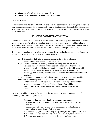- **Violations of academic integrity and ethics.**
- **Violations of the DPS 61 Student Code of Conduct.**

# **ENFORCEMENT**

A student who violates the Athletic Code and who has been provided a hearing and assessed a consequence cannot avoid the consequence by transferring to another Decatur Public High School. The penalty will be enforced at the student's new school before the student can become eligible for participation.

# **SEASONAL ACTIVITY PARTICIPATION**

Limited dual participation in activities is permissible. The philosophy of our district is to permit a student with a special talent to contribute to the success of an activity in an additional program. The student must designate one activity as his/her primary activity. His/her first commitment is to the activity that he/she is considered to have designated as his/her primary activity.

To apply this guideline to a situation where a student has a conflict between school activities, the following procedure will be followed to resolve the situation:

- **Step 1** The student shall inform teachers, coaches, etc. of the conflict and attempt to resolve the situation on his/her own.
- **Step 2** Unresolved conflicts will be jointly discussed by both instructors in an attempt to reach resolution. Where possible, teachers/coaches will work to share the student fairly between conflicting activities. Consideration will be given to the nature and importance of the opposing activities. For example, games/matches, competitions, and performances take precedence over practices.

**Step 3** If the conflict cannot be resolved in the preceding steps, the matter shall be appealed to the building level administration for resolution. Resolution will then involve consideration of the designated primary activity and the nature and importance of the conflicting activity. Care will be

taken to resolve the conflict in the best interest of the student and the school.

No penalty shall be assessed to the student if the resolution procedure results in a missed practice, performance, competition, etc.

# **Examples of dual participation in two athletic teams are:**

1. A soccer player who wishes to punt, kick field goals, and/or kick off for football.

 Special note - players who cross over from soccer to football need to be physically conditioned to football situations.

- 2. A volleyball player who wishes to participate in girls IHSA golf tournament.
- 3. A baseball or softball player who can fill in on the relay team for track.
- 4. A cheerleader must be permitted to participate in spring sports.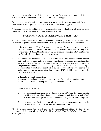An upper classman who quits a fall sport may not go out for a winter sport until the fall sports season is over. Special circumstances will be considered in an appeal.

An upper classman who quits a winter sport may not go out for a spring sport until the winter sports season is over. Special circumstances will be considered in an appeal.

A freshman shall be allowed to quit on or before the first day of school for a fall sport and on or before December 1 for a winter sport without being penalized.

# **STUDENT ASSIGNMENTS, RESIDENCY, AND TRANSFERS**

Student enrollment and attendance center assignments shall be governed by the Decatur School District No. 61 policies and the Illinois school residency laws found in the *Illinois School Code.*

- A. If the parent(s) of a middle/high school student move(s) after the start of the school year, the *Illinois School Code* allows that student to complete the current school year only at the same school. IHSA Athletic Eligibility By-Laws require a ruling on IHSA eligibility by the Executive Director in the event of such circumstances.
- B. Students who have attended one school while enrolled in Decatur Public Schools for their entire high school career and whose parents, custodial parent, or court appointed guardian move from the attendance area traditionally served by that school following the student's completion of the eleventh  $(11<sup>th</sup>)$  grade, may remain in that school and retain eligibility if the student has attained senior classification by the beginning of the new academic year and with the appropriate amount of credits subject to IHSA eligibility restrictions and the DPS 61 criteria below:
	- a. Parent(s) provide transportation.
	- b. Absenteeism and tardiness shall not increase beyond the student's previous record.
	- c. The student shall be picked up promptly after school or practice.
- C. Transfer Rules for Athletics
	- 1. If a student's attendance center is determined by an IEP Team, the student shall be eligible at either their home high school or eligible at both their home high school or a the school housing the special education setting as governed by IHSA by-laws.
	- 2. If a student transfers from one attendance center to another attendance center in the Decatur School District, IHSA rules will apply in all cases.

Also, the Decatur Public Schools shall abide by the IHSA Athletic Eligibility By-Laws for all provisions including Attendance (3.010), Residence (3.030), Transfer (3.040), and Scholastic Standing (3.020).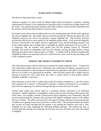### **SCHOLASTIC STANDING**

The Board of Education Policy states:

Students in grades 9-12 must satisfy the Illinois High School Association's scholastic standing requirements (in District 61 the requirement of passing at least 25 credit hours of high school work per week). Any student participant failing to meet these academic criteria shall be suspended from the activity until the specified academic criteria are met.

Each team coach will provide the athletic director a list of participants that will be used to generate the official eligibility list. The athletic director will then provide the official participant list to the eligibility secretary who will in turn generate a master eligibility list. The secretary will then provide this official list to each teacher for the eligibility grade checks. Each week the eligibility secretary will provide to the athletic director, appropriate coach, and the building principal a list of any student athlete who is failing and/or is ineligible for athletic participation the next week. It is imperative that all teachers enter grades into TAC the grading system by Thursday midnight. The period of ineligibility shall run from Monday morning through Sunday evening following the grade check announcement on Friday. A student shall be declared academically ineligible if he/she is not passing twenty-five credit hours of course work for the preceding week of the scheduled contests.

# **MAKING THE WEEKLY ELIGIBILITY CHECK**

The following procedure shall be followed in making the weekly eligibility check. "Twenty-five (25) credit hours of high school work" is defined as any combination of subjects, accepted by local high school authorities in determining the requirements for graduation and which accumulates at least two (2) credits or its equivalent per semester. Since the rules require that a student must be passing in twenty-five (25) credit hours per week, a weekly check of each student athlete's scholastic eligibility is necessary.

Most important to note is that "a student must satisfy all academic standards (i.e., pass five classes with a grade of D or above)" is determined to measure a student's performance on a cumulative basis from the beginning of a semester through the date on which the check is made.

Schools shall conduct this weekly check in a consistent manner convenient to its individual operations. Student eligibility or ineligibility is then enforced on the Monday following the date of the check. For example, consider a school which checks eligibility every Wednesday. Records are processed through the computer and a printout of all athletes' standings is given to the athletic director on Friday. His office reviews the list and reports Thursday afternoon to the principal that a student is not passing twenty-five (25) hours as of this check. The principal informs the student and coaches on Friday morning that the student is not passing the required work and is, thus, ineligible for one week, beginning the following Monday morning. The student may play in contests held that evening or on Saturday, the next day; however, the entire next week, the student is ineligible.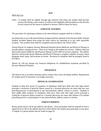### **AGE**

### IHSA By-Law

4.061: "A student shall be eligible through age nineteen (19) unless the student shall become twenty (20) during a sport season, in which event eligibility shall terminate on the first day of such season (as the season is defined in Section 5.000 of these By-laws).

### **ATHLETIC INJURIES**

The procedure for reporting accidents in the interscholastic program shall be as follows:

Accidents that occur in the interscholastic program shall be reported on the Decatur Public Schools Student Accident Report form using the same criteria for reporting as in any other reportable accident. The accident form shall be completed and provided to the school office.

School District 61 employs Decatur Memorial Hospital Sports Medicine and Physical Therapy to provide athletic training services. There is no charge to the student for services. Athletic directors shall notify Sports Medicine and Physical Therapy at 876-2690 of services required. The athletic directors will provide Sports Medicine and Physical Therapy a complete schedule of events which designate times, dates, and locations of events. Revisions to schedules shall be promptly faxed to 876-6825.

District 61 will not assume any financial obligations for rehabilitation treatment provided by Decatur Memorial Hospital.

### **INSURANCE**

The District has an accident insurance policy in place that covers all student athletes. Requirement for student proof of insurance is no longer necessary.

### **PHYSICAL EXAMINATION**

Students in their first seven (7) semesters of attendance shall have filed with their high school principal a certificate of physical fitness issued by a licensed physician not more than one year preceding practice or participation in any interscholastic athletic contest or activity. Students in their eighth (8th) semester of attendance shall have filed with their high school principal a certificate of physical fitness issued by a licensed physician not more than thirteen (13) months preceding practice or participation in any interscholastic athletic contest or activity.

### **PARENT PERMITS**

Parent permit forms will be provided by the district. Each participant shall be required to have a signed form on file in the athletic director's office before the student may participate in any sport. A sample of a parent permit may be found on page 26.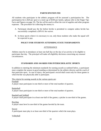# **PARTICIPATION FEE**

All students who participate in the athletic program will be assessed a participation fee. The participation fee is \$20 per sport or a total cap of \$100 per family, (please refer to the Finger Tips Facts and Figures on page 33). The fee will be used to offset the cost of supplies and other program expenses. The procedure for collecting the money is:

- A. Participant should pay the fee before he/she is permitted to compete unless he/she has successfully completed a DPS 61 fee waiver.
- B. In those sports where it is necessary to cut, only those students who make the squad will be expected to pay.

# **POLICY FOR STUDENTS ATTENDING STATE TOURNAMENTS**

# ATTENDANCE

Athletes must be in attendance at least one-half day on the day of an activity to be eligible to participate that day. The principal will make all eligibility decisions concerning any unusual circumstances.

# **STANDARDS AND AWARDS FOR INTERSCHOLASTIC SPORTS**

In addition to meeting the minimum standards for earning awards as outlined below, a participant must complete the season in good standing as determined by the athletic director and the coach of that particular sport. In case of injury, the participant's record shall count only for those games in which he/she was physically able to participate.

The criteria for earning awards in the various sports are: Football

A player must participate in one-third or more of the total number of quarters.

Basketball

A player must participate in one-third or more of the total number of quarters.

Baseball and Softball A player shall participate in at least one-half of the games; a pitcher in one-third of the games.

Bowling A player must bowl in one-third of the games bowled by the team.

Soccer

A participant must play in at least one-third of the quarters which the team plays.

Volleyball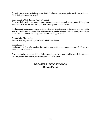A varsity player must participate in one-third of all games played; a junior varsity player in onethird of all games that are played.

### Cross Country, Golf, Tennis, Track, Wrestling

A player shall receive one point for participation in a meet or match or two points if the player wins his match, but not on a forfeit, or if he scores points in a track meet.

Freshman and sophomore awards in all sports shall be determined in the same way as varsity awards. Participants who have finished the season in good standing and do not qualify for a plaque or certificate medallion shall be given a certificate of appreciation.

### Standards for Cheerleaders

Awards shall be governed by the Cheerleader's Constitution.

### Special Awards

Patches (4 inches) may be purchased for state championship team members or for individuals who win a state championship.

A senior who has participated three full seasons in any given sport shall be awarded a plaque at the completion of his senior year of competition in that sport.

# **DECATUR PUBLIC SCHOOLS -District Forms-**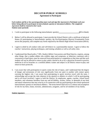# **DECATUR PUBLIC SCHOOLS Agreement to Participate**

**Each student and his or her parent/guardian must read and sign this** *Agreement to Participate* **each year before being allowed to participate in interscholastic sport(s) or intramural athletics. The completed**  *Agreement* **shall be returned to the Coach. Student name (printed)** 

- 1. I wish to participate in the following interscholastic sport(s): **(**fill in blank)
- 2. Before I will be allowed to participate, I must provide the School District with a certificate of physical fitness (if participating in interscholastic sport(s), the Pre-Participation Physical Examination Form serves this purpose), and complete any forms required by the Illinois High School Association (IHSA).
- 3. I agree to abide by all conduct rules and will behave in a sportsmanlike manner. I agree to follow the coaches' instructions, playing techniques, and training schedule as well as all safety rules.
- 4. I understand that Board policy 7:305, *Student Athlete Concussions and Head Injuries*, requires, among other things, that a student athlete who exhibits signs and symptoms, or behaviors consistent with a concussion or head injury must be removed from participation or competition at that time and that such student will not be allowed to return to play unless cleared to do so by a physician licensed to practice medicine in all its branches or a certified athletic trainer and subject to all District return-to-play and return-to-learn protocols.
- 5. I am aware that with participation in sports comes the risk of injury, and I understand that the degree of danger and seriousness of risk vary significantly from one sport to another with contact sports carrying the highest risk. I am aware that participating in sports involves travel with the team. I acknowledge and accept the risks inherent in the sport(s) or athletics in which I will be participating and in all travel involved. I agree to hold the District, its employees, agents, coaches, school board members, and volunteers harmless from any and all liability, actions, claims, or demands of any kind and nature whatsoever that may arise by or in connection with my participating in the school-sponsored interscholastic sport(s) or intramural athletics. The terms hereof shall serve as a release and assumption of risk for my heirs, estate, executor, administrator, assignees, and for all members of my family.

| <b>Student signature:</b> | <b>Date:</b> |
|---------------------------|--------------|
|                           |              |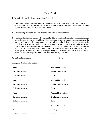# **Parent Permit**

### To be read and signed by the parent/guardian of the student:

- 1. I am the parent/guardian of the above named student and give my permission for my child or ward to participate in the interscholastic sport(s) or intramural athletics indicated. I have read the above *Agreement to Participate* and understand its terms.
- 2. I acknowledge having received the attached *Concussion Information Sheet*.
- 3. I understand that all sports can involve many **risks of injury**, and I understand that the degree of danger and seriousness of risk vary significantly from one sport to another with contact sports carrying the higher risk. I am aware that participating in sports involves travel with the team. In consideration of the School District permitting my child to participate, I agree to hold the District, its employees, agents, coaches, board members and volunteers harmless from any and all liability, actions, claims or demands of any kind and nature whatsoever that may arise by or in connection with the participation of my child in the sport(s) or athletics. I assume all responsibility and certify that my child is in good physical health and is capable of participation in the above indicated sport or athletics.

| Parent/Guardian signature:                                                                                                                | Date:                                                                                                                                                |  |
|-------------------------------------------------------------------------------------------------------------------------------------------|------------------------------------------------------------------------------------------------------------------------------------------------------|--|
| <b>Emergency Contact Information</b>                                                                                                      |                                                                                                                                                      |  |
| Name:<br><u> 1980 - Johann Barbara, martxa a filial an t-Alban an t-Alban an t-Alban an t-Alban an t-Alban an t-Alban an t-</u>           | <b>Relationship to student:</b>                                                                                                                      |  |
| Day phone number:                                                                                                                         | <b>Evening phone number:</b>                                                                                                                         |  |
| <b>Cell phone number:</b>                                                                                                                 | Other: <u>Department</u>                                                                                                                             |  |
| Name:                                                                                                                                     | <b>Relationship to student:</b>                                                                                                                      |  |
| Day phone number:<br><u> Liste de la construcción de la construcción de la construcción de la construcción de la construcción de la c</u> | <b>Evening phone number:</b>                                                                                                                         |  |
| Cell phone number:                                                                                                                        | <u>Other:</u>                                                                                                                                        |  |
| Name:                                                                                                                                     | <b>Relationship to student:</b>                                                                                                                      |  |
| Day phone number:                                                                                                                         | <b>Evening phone number:</b>                                                                                                                         |  |
| Cell phone number:<br><u> 1990 - Johann Barbara, martin a</u>                                                                             |                                                                                                                                                      |  |
| <u> 1980 - Johann Barnett, fransk politik (d. 1980)</u><br>Name:                                                                          | <b>Relationship to student:</b><br><u> 1989 - Johann Barbara, martin a</u>                                                                           |  |
| Day phone number:                                                                                                                         | <b>Evening phone number:</b><br><u> 1980 - Jan Barbara Barat, prima populație de programa de la programa de la programa de la programa de la pro</u> |  |
| Cell phone number:                                                                                                                        | Other:                                                                                                                                               |  |

# **Emergency Contact Information**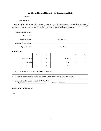# **Certificate of Physical Fitness for Participation in Athletics**

| Student:                                                             |        |                |                                                                                                                                                                                                                                                                                                                                                                                            |        |                |
|----------------------------------------------------------------------|--------|----------------|--------------------------------------------------------------------------------------------------------------------------------------------------------------------------------------------------------------------------------------------------------------------------------------------------------------------------------------------------------------------------------------------|--------|----------------|
| Sport or Activity:                                                   |        |                |                                                                                                                                                                                                                                                                                                                                                                                            |        |                |
|                                                                      |        |                | I am the parent(s)/guardian(s) of the above student. I certify that my child/ward is in good physical health and is capable of<br>participation in the above mentioned sport or activity. No need exists to limit his/her participation. I assume full responsibility for<br>his/her physical condition and participation. I will notify you of any changes in his/her physical condition. |        |                |
|                                                                      |        |                | Parent(s)/Guardian(s) Name:                                                                                                                                                                                                                                                                                                                                                                |        |                |
|                                                                      |        |                |                                                                                                                                                                                                                                                                                                                                                                                            |        |                |
| Telephone Number:                                                    |        |                |                                                                                                                                                                                                                                                                                                                                                                                            |        |                |
|                                                                      |        |                |                                                                                                                                                                                                                                                                                                                                                                                            |        |                |
|                                                                      |        |                | Phone Number:                                                                                                                                                                                                                                                                                                                                                                              |        |                |
| Medical History:                                                     |        |                |                                                                                                                                                                                                                                                                                                                                                                                            |        |                |
|                                                                      | Yes    | N <sub>0</sub> |                                                                                                                                                                                                                                                                                                                                                                                            | Yes    | N <sub>0</sub> |
| Heart Condition                                                      | $\Box$ | □              | Epilepsy                                                                                                                                                                                                                                                                                                                                                                                   | □      | □              |
| Allergies                                                            | $\Box$ | □              | Asthma                                                                                                                                                                                                                                                                                                                                                                                     | $\Box$ | П              |
| Diabetes                                                             | □      | $\Box$         | Other                                                                                                                                                                                                                                                                                                                                                                                      |        |                |
| 1.                                                                   |        |                |                                                                                                                                                                                                                                                                                                                                                                                            |        |                |
| 2.                                                                   |        |                |                                                                                                                                                                                                                                                                                                                                                                                            |        |                |
| Is your child/ward taking any medication? $\Box$ Yes $\Box$ No<br>3. |        |                |                                                                                                                                                                                                                                                                                                                                                                                            |        |                |
|                                                                      |        |                |                                                                                                                                                                                                                                                                                                                                                                                            |        |                |

Date: \_\_\_\_\_\_\_\_\_\_\_\_\_\_\_\_\_\_\_\_\_\_\_\_\_\_\_\_\_\_\_\_\_\_\_\_\_\_\_\_\_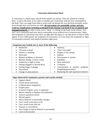# **Concussion Information Sheet**

A concussion is a brain injury and all brain injuries are serious. They are caused by a bump, blow, or jolt to the head, or by a blow to another part of the body with the force transmitted to the head. They can range from mild to severe and can disrupt the way the brain normally works. Even though most concussions are mild, **all concussions are potentially serious and may result in complications including prolonged brain damage and death if not recognized and managed properly.** In other words, even a "ding" or a bump on the head can be serious. You can't see a concussion and most sports concussions occur without loss of consciousness. Signs and symptoms of concussion may show up right after the injury or can take hours or days to fully appear. If your child reports any symptoms of concussion, or if you notice the symptoms or signs of concussion yourself, seek medical attention right away.

| Symptoms may include one or more of the following: |                                     |  |  |
|----------------------------------------------------|-------------------------------------|--|--|
| Headaches                                          | Amnesia                             |  |  |
| "Pressure in head"                                 | "Don't feel right"<br>$\bullet$     |  |  |
| Nausea or vomiting<br>٠                            | Fatigue or low energy<br>$\bullet$  |  |  |
| Neck pain<br>٠                                     | Sadness                             |  |  |
| Balance problems or dizziness                      | • Nervousness or anxiety            |  |  |
| Blurred, double, or fuzzy vision                   | Irritability<br>٠                   |  |  |
| Sensitivity to light or noise<br>٠                 | More emotional                      |  |  |
| Feeling sluggish or slowed down<br>٠               | Confusion                           |  |  |
| Feeling foggy or groggy                            | • Concentration or memory problems  |  |  |
| Drowsiness                                         | (forgetting game plays)             |  |  |
| Change in sleep patterns                           | Repeating the same question/comment |  |  |

# **Signs observed by teammates, parents and coaches include:**

- Appears dazed
- Vacant facial expression
- Confused about assignment
- Forgets plays
- Is unsure of game, score, or opponent
- Moves clumsily or displays incoordination
- Answers questions slowly
- Slurred speech
- Shows behavior or personality changes
- Can't recall events prior to hit
- Can't recall events after hit
- Seizures or convulsions
- Any change in typical behavior or personality
- Loses consciousness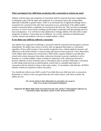### **What can happen if my child keeps on playing with a concussion or returns too soon?**

Athletes with the signs and symptoms of concussion shall be removed from play immediately. Continuing to play with the signs and symptoms of a concussion leaves the young athlete especially vulnerable to greater injury. There is an increased risk of significant damage from a concussion for a period of time after that concussion occurs, particularly if the athlete suffers another concussion before completely recovering from the first one. This can lead to prolonged recovery, or even to severe brain swelling (second impact syndrome) with devastating and even fatal consequences. It is well known that adolescent or teenage athletes will often fail to report symptoms of injuries. Concussions are no different. As a result, education of administrators, coaches, parents and students is the key to student-athlete's safety.

# **If you think your child has suffered a concussion**

Any athlete even suspected of suffering a concussion shall be removed from the game or practice immediately. No athlete may return to activity after an apparent head injury or concussion, regardless of how mild it seems or how quickly symptoms clear, without medical clearance and adherence to the School District's return-to-play and return-to-learn protocols. Close observation of the athlete shall continue for several hours. IHSA Policy requires athletes to provide their school with written clearance from either a physician licensed to practice medicine in all its branches or a certified athletic trainer working in conjunction with a physician licensed to practice medicine in all its branches prior to returning to play or practice following a concussion or after being removed from an interscholastic contest due to a possible head injury or concussion and not cleared to return to that same contest. In accordance with state law, all IHSA member schools are required to follow this policy.

You should also inform your child's coach if you think that your child may have a concussion. Remember it's better to miss one game than miss the whole season. And when in doubt, the athlete sits out.

> **For current and up-to-date information on concussions you can go to: <http://www.cdc.gov/ConcussionInYouthSports/>**

**Adapted by the Illinois High School Association from the CDC and the 3rd International Conference on Concussion in Sport, Document created 7/1/2011. Reviewed 4/24/2013.**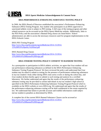

**IHSA Sports Medicine Acknowledgement & Consent Form**

# **IHSA PERFORMANCE-ENHANCING SUBSTANCE TESTING POLICY**

In 2008, the IHSA Board of Directors established the association's Performance-Enhancing Substance (PES) Testing Program. Any student who participates in an IHSA-approved or sanctioned athletic event is subject to PES testing. A full copy of the testing program and other related resources can be accessed on the IHSA Sports Medicine website. Additionally, links to the PES Policy and the association's Banned Drug classes are listed below. School administrators are able to access the necessary resources used for program implementation in the IHSA Schools Center.

IHSA PES Testing Program [http://www.ihsa.org/documents/sportsMedicine/2014-15/2014-](http://www.ihsa.org/documents/sportsMedicine/2014-15/2014-15%20PES%20policy%20final.pdf) [15%20PES%20policy%20final.pdf](http://www.ihsa.org/documents/sportsMedicine/2014-15/2014-15%20PES%20policy%20final.pdf)

IHSA Banned Drug Classes [http://www.ihsa.org/documents/sportsMedicine/2014-15/2014-](http://www.ihsa.org/documents/sportsMedicine/2014-15/2014-15%20IHSA%20Banned%20Drugs.pdf) [15%20IHSA%20Banned%20Drugs.pdf](http://www.ihsa.org/documents/sportsMedicine/2014-15/2014-15%20IHSA%20Banned%20Drugs.pdf)

# **IHSA STEROID TESTING POLICY CONSENT TO RANDOM TESTING**

As a prerequisite to participation in IHSA athletic activities, we agree that I/our student will not use performance-enhancing substances as defined in the IHSA Performance-Enhancing Substance Testing Program Protocol. We have reviewed the policy and understand that I/our student may be asked to submit to testing for the presence of performance-enhancing substances in my/our student's body either during IHSA state series events or during the school day, and I/our student do/does hereby agree to submit to such testing and analysis by a certified laboratory. We further understand and agree that the results of the performance-enhancing substance testing may be provided to certain individuals in my/our student's high school as specified in the IHSA Performance-Enhancing Substance Testing Program Protocol which is available on the IHSA website at www.IHSA.org. We understand and agree that the results of the performance-enhancing substance testing will be held confidential to the extent required by law. We understand that failure to provide accurate and truthful information could subject me/our student to penalties as determined by IHSA.

A complete list of the current IHSA Banned Substance Classes can be accessed at [http://www.ihsa.org/documents/sportsMedicine/2014-15/2014-](http://www.ihsa.org/documents/sportsMedicine/2014-15/2014-15%20IHSA%20Banned%20Drugs.pdf) [15%20IHSA%20Banned%20Drugs.pdf](http://www.ihsa.org/documents/sportsMedicine/2014-15/2014-15%20IHSA%20Banned%20Drugs.pdf)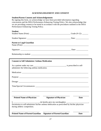# **ACKNOWLEDGEMENT AND CONSENT**

### **Student/Parent Consent and Acknowledgements**

By signing this form, we acknowledge we have been provided information regarding concussions and the IHSA Performance-Enhancing Testing Policy. We also acknowledge that we are providing consent to be tested in accordance with the procedures outlined in the IHSA Performance-Enhancing Testing Policy.

# **Student**

| <b>Parent or Legal Guardian</b>                                                                                            |                                         |
|----------------------------------------------------------------------------------------------------------------------------|-----------------------------------------|
|                                                                                                                            |                                         |
|                                                                                                                            |                                         |
| <b>Consent to Self Administer Asthma Medication</b>                                                                        |                                         |
| administer the following asthma medication.                                                                                |                                         |
|                                                                                                                            |                                         |
|                                                                                                                            |                                         |
|                                                                                                                            |                                         |
|                                                                                                                            |                                         |
|                                                                                                                            |                                         |
| <b>Signature of Physician</b><br><b>Printed Name of Physician</b>                                                          | $\overline{\phantom{a}}$<br><b>Date</b> |
|                                                                                                                            |                                         |
| Permission to self-administer his/her asthma medication as prescribed by his/her physician<br>during athletic competition. |                                         |
| <b>Printed Name of Parent/Guardian</b><br><b>Signature of Parent/Guardian</b>                                              | <b>Date</b>                             |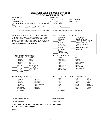# **DECATUR PUBLIC SCHOOL DISTRICT 61 STUDENT ACCIDENT REPORT**

| Student's Name                                                                  | Home Address                            |
|---------------------------------------------------------------------------------|-----------------------------------------|
| School                                                                          | Grade _______ Age ______ Male<br>Female |
| Date of Accident                                                                | Exact Time A.M.<br><b>P.M.</b>          |
| Place of Accident: School Building ______ School Grounds _______ To/From School |                                         |
| Other                                                                           |                                         |
| Non-School: Home ____ Other ____ Number of Days Absent From School* ______      |                                         |

(\*If student is absent for an extended period of time, send preliminary report. Send revision when student returns to school.)

| DESCRIPTION OF ACCIDENT: How did it happen?<br>What was student doing? List the conditions existing. Specify<br>machinery or other equipment involved. Describe the school<br>accident to the extent that you feel a person who has not seen<br>the accident will know what has happened. Was student taken<br>to emergency room or a doctor's office? | <b>MAJOR CAUSE OF ACCIDENT</b><br>Ran together<br>Basketball<br>Scuffling/fighting<br>Classroom<br>Struck by moving object<br>Fall<br>Struck fixed object<br>Football<br>Stepped on object<br><b>Free Play</b><br><b>Icy Conditions</b><br>Tripped<br>Kicked<br>Twisted body joint<br>P.E. Class<br>Wrestling<br>Pushed<br>Other (specify): |  |  |  |  |
|--------------------------------------------------------------------------------------------------------------------------------------------------------------------------------------------------------------------------------------------------------------------------------------------------------------------------------------------------------|---------------------------------------------------------------------------------------------------------------------------------------------------------------------------------------------------------------------------------------------------------------------------------------------------------------------------------------------|--|--|--|--|
| <b>ACCIDENTS BY ACTIVITIES</b><br>Rehearsal<br><b>Apparatus</b><br>Baseball<br>Shop<br>Softball<br>Basketball<br>Classroom<br><b>Stairs</b><br>Showers<br>Football<br>To/From School<br>Free Play<br>Tumbling/Gymnastics<br>Home<br><b>Organized Active</b><br>Volleyball<br><b>Physical Education</b><br>Wrestling<br>Other (Specify):                | NATURE OF INJURY<br>Cut<br>Abrasion<br>Dislocation<br>Amputation<br><b>Broken Teeth</b><br>Fracture<br><b>Pulled Muscle</b><br><b>Bruise</b><br><b>Burn</b><br>Puncture<br><b>Caused Ache</b><br>Scratch<br>Concussion<br>Sprain/Strain<br>Torn Ligament<br>Contusion<br>Other (Specify):                                                   |  |  |  |  |
| <b>LOCATION OF ACCIDENT</b><br><b>Athletic Field</b><br>Locker<br>Shower<br>Auditorium<br>Cafeteria<br>Playground<br>Classroom<br>Restroom<br><b>School Crossing</b><br>Corridors<br>Gymnasium<br><b>Stairs</b><br>Gym-Outside<br><b>Streets</b><br><b>Industrial Arts</b><br>Sidewalks<br>Other (Specify):                                            | PART OF THE BODY INJURED (Right or left)<br>Abdomen<br>Eye<br>Leg<br>Face<br>Mouth<br>Ankle<br><b>Neck</b><br>Arm<br>Finger<br><b>Back</b><br>Foot<br>Nose<br>Chest<br><b>Ribs</b><br>Hand<br>Chin<br>Head<br>Shoulder<br>Ear<br>Hip<br>Teeth<br>Elbow<br>Knee<br>Wrist<br>Other (Specify):                                                 |  |  |  |  |

| Signature of person in charge | Report prepared by |
|-------------------------------|--------------------|
|-------------------------------|--------------------|

Signature of Principal\_\_\_\_\_\_\_\_\_\_\_\_\_\_\_\_\_\_\_\_\_\_\_\_\_\_\_\_\_\_\_\_\_\_\_\_\_ Date of Report \_\_\_\_\_\_\_\_\_\_\_\_\_\_\_\_\_\_\_\_\_\_\_\_\_\_\_\_\_\_\_\_\_\_\_\_\_\_

*SEND ORIGINAL OF THIS REPORT TO KEIL BUSINESS OFFICE – ATTENTION: C KEEP A COPY FOR YOUR RECORDS*

(Rev.8/07)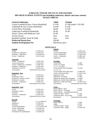# **ATHLETIC FINGER TIP FACTS AND FIGURES DPS HIGH SCHOOL EVENTS (not including conference, district and state contest) TICKET PRICES**

| <b>General Admission</b>                   | <b>Adult</b>       | <b>Student</b>            |
|--------------------------------------------|--------------------|---------------------------|
| Varsity Football & Boys Varsity Basketball | \$5.00             | $$3.00$ (under 12 \$1.00) |
| Volleyball & Girls Varsity Basketball      | \$4.00             | \$2.00                    |
| <b>Varsity Boys Wrestling</b>              | \$4.00             | \$2.00                    |
| Underclass Football & Basketball           | \$2.00             | \$1.00                    |
| Senior Citizen with Medicare Card          | \$1.00             |                           |
| <b>Varsity Soccer</b>                      | Free               | Free                      |
| Baseball, Softball, Track & Field          | Free               | Free                      |
| <b>Preferred Patron Pass</b>               | \$50.00            |                           |
| <b>Student Participation Fee</b>           | $$20.00$ per sport |                           |

### **OFFICIALS**

| Football                         |                           | Softball                                      |                           |
|----------------------------------|---------------------------|-----------------------------------------------|---------------------------|
| Varsity                          | 5 at \$70 each            | Varsity                                       | 2 at \$55 each            |
| Freshman or Sophomore            | 4 at \$50 each            | Varsity Doubleheader                          | 2 at \$120 each           |
| Freshman + Sophomore             | 4 at \$100 each           | Varsity Tripleheader                          | 2 at \$150 each           |
| $Varsity + Sophomore$            | 5 at \$115 each           | $Varsity + Sophomore$                         | 2 at \$85 each            |
|                                  |                           | Sophomore                                     | 2 at \$50 each            |
| <b>Volleyball</b>                |                           |                                               |                           |
| Varsity + Sophomore              | 2 at \$65 each            | <b>Wrestling</b>                              |                           |
| Varsity lines person             | 2 at \$10 each            | <b>Varsity Dual</b>                           | 1 at \$65                 |
| Varsity+ Sophomore+ Freshman     | 2 at \$85 each            | Varsity Two Duals                             | 1 at \$100                |
| Freshman + Sophomore             | 2 at \$55 each            | 1-2, 1-3, 2-3 DNW                             |                           |
| Freshman (3 out of 5)            | 2 at \$45 each            | Varsity Double Dual Triangular                | 1 at \$125                |
| Tournaments                      | determined by host school | $1-2, 2-3, 1-3$                               |                           |
|                                  |                           | Varsity Double Dual (split mats)              | 2 at \$90 each            |
| <b>Basketball</b> – <i>Boys</i>  |                           | Varsity Triple Dual Quad                      | 2 at \$125 each           |
| Varsity                          | 3 at \$70 each            | Sophomore-Dual                                | 1 at \$55                 |
| Preliminary contest              | 3 at \$50 each            | Sophomore Two Duals                           | 1 at \$90                 |
| Freshman $(2$ contests $A \& B)$ | 2 at \$65 each            | Sophomore Double Dual Triangular              | 1 at \$105                |
| Freshman (1 contest)             | 2 at \$45 each            | Sophomore- Double Dual (Split mats) 2 at \$80 |                           |
| Freshman + Sophomore             | 2 at \$95 each            | Sophomore-Triple Dual Quad                    | 2 at \$105 each           |
| Tournaments                      | determined by host school | Tournaments                                   | determined by host school |
|                                  |                           |                                               |                           |
| <b>Basketball – Girls</b>        |                           | <b>Track</b>                                  |                           |
| Varsity                          | 3 at \$70 each            | <b>Starter Official - Dual</b>                | 1 at \$50                 |
| Preliminary contest              | 2 at \$50 each            | Starter Official - Triangular                 | 1 at \$55                 |
| Freshman                         | 2 at \$45 each            | Starter Official – each additional team \$5   |                           |
| Freshman + Sophomore             | 2 at \$95 each            | Conference Meet - Starter                     | 1 at \$95                 |
| Tournaments                      | determined by host school | Conference Meet - Asst. Starter               | 1 at \$70                 |
|                                  |                           | <b>Invitationals</b>                          | determined by host school |
| <b>Baseball</b>                  |                           |                                               |                           |
| Varsity                          | 2 or 3 at \$60 each       | <b>Swimming</b>                               |                           |
| Sophomore                        | 2 at \$50 each            | <b>Starter Official</b>                       | 1 at \$45                 |
| Freshman                         | 2 at \$50 each            | Judges                                        | 1 at \$35                 |
|                                  |                           |                                               |                           |

Freshman 2 at \$50 each Varsity Doubleheader 2 or 3 at \$120 each Varsity Tripleheader 3 at \$160 each Varsity + Sophomore 2 at  $$105$  each Fresh/Soph (JV) doubleheader 2 at \$100 each

| <b>Starter Official</b>   | 1 at \$45      |
|---------------------------|----------------|
| Judges                    | 1 at \$35      |
| Conference Meet - Starter | 1 at \$70      |
| Conference Meet - Judges  | 3 at \$45 each |
|                           |                |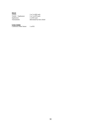| <b>Soccer</b><br>Varsity<br>$Varsity + Sophomore$<br>Sophomore | 2 or 3 at \$45 each<br>2 or 3 at \$70 each<br>2 at \$35 each |
|----------------------------------------------------------------|--------------------------------------------------------------|
| Tournaments                                                    | determined by host school                                    |
|                                                                |                                                              |

### **Cross County**

Conference Meet Starter 1 at \$55